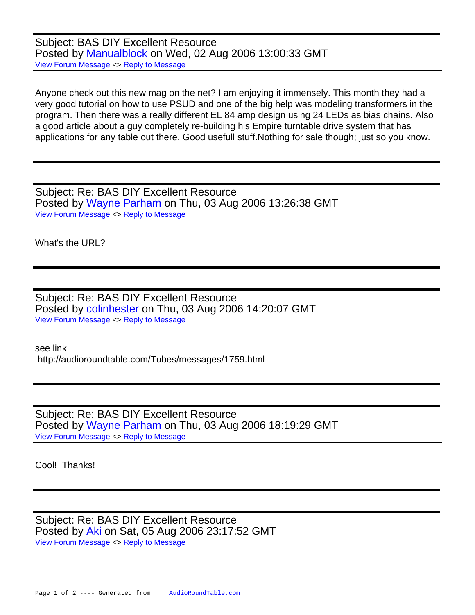Subject: BAS DIY Excellent Resource Posted by [Manualblock](https://audioroundtable.com/forum/index.php?t=usrinfo&id=8) on Wed, 02 Aug 2006 13:00:33 GMT [View Forum Message](https://audioroundtable.com/forum/index.php?t=rview&th=578&goto=3410#msg_3410) <> [Reply to Message](https://audioroundtable.com/forum/index.php?t=post&reply_to=3410)

Anyone check out this new mag on the net? I am enjoying it immensely. This month they had a very good tutorial on how to use PSUD and one of the big help was modeling transformers in the program. Then there was a really different EL 84 amp design using 24 LEDs as bias chains. Also a good article about a guy completely re-building his Empire turntable drive system that has applications for any table out there. Good usefull stuff.Nothing for sale though; just so you know.

Subject: Re: BAS DIY Excellent Resource Posted by [Wayne Parham](https://audioroundtable.com/forum/index.php?t=usrinfo&id=5) on Thu, 03 Aug 2006 13:26:38 GMT [View Forum Message](https://audioroundtable.com/forum/index.php?t=rview&th=578&goto=3414#msg_3414) <> [Reply to Message](https://audioroundtable.com/forum/index.php?t=post&reply_to=3414)

What's the URL?

Subject: Re: BAS DIY Excellent Resource Posted by [colinhester](https://audioroundtable.com/forum/index.php?t=usrinfo&id=78) on Thu, 03 Aug 2006 14:20:07 GMT [View Forum Message](https://audioroundtable.com/forum/index.php?t=rview&th=578&goto=3415#msg_3415) <> [Reply to Message](https://audioroundtable.com/forum/index.php?t=post&reply_to=3415)

see link http://audioroundtable.com/Tubes/messages/1759.html

Subject: Re: BAS DIY Excellent Resource Posted by [Wayne Parham](https://audioroundtable.com/forum/index.php?t=usrinfo&id=5) on Thu, 03 Aug 2006 18:19:29 GMT [View Forum Message](https://audioroundtable.com/forum/index.php?t=rview&th=578&goto=3416#msg_3416) <> [Reply to Message](https://audioroundtable.com/forum/index.php?t=post&reply_to=3416)

Cool! Thanks!

Subject: Re: BAS DIY Excellent Resource Posted by [Aki](https://audioroundtable.com/forum/index.php?t=usrinfo&id=198) on Sat, 05 Aug 2006 23:17:52 GMT [View Forum Message](https://audioroundtable.com/forum/index.php?t=rview&th=578&goto=3417#msg_3417) <> [Reply to Message](https://audioroundtable.com/forum/index.php?t=post&reply_to=3417)